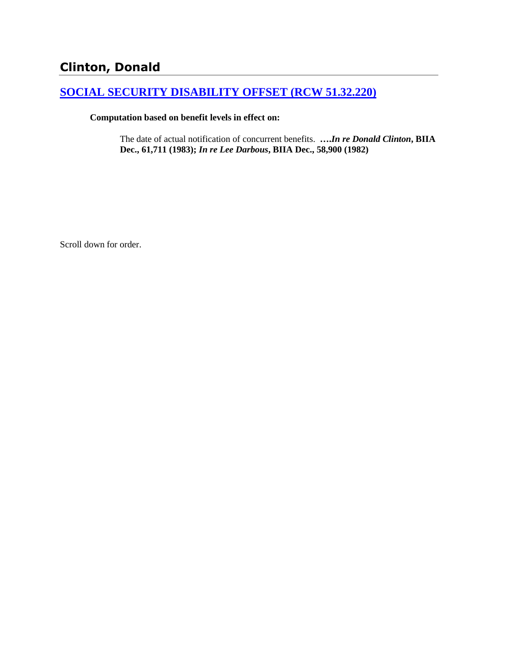# **Clinton, Donald**

# **[SOCIAL SECURITY DISABILITY OFFSET \(RCW 51.32.220\)](http://www.biia.wa.gov/SDSubjectIndex.html#SOCIAL_SECURITY_DISABILITY_OFFSET)**

### **Computation based on benefit levels in effect on:**

The date of actual notification of concurrent benefits. **….***In re Donald Clinton***, BIIA Dec., 61,711 (1983);** *In re Lee Darbous***, BIIA Dec., 58,900 (1982)** 

Scroll down for order.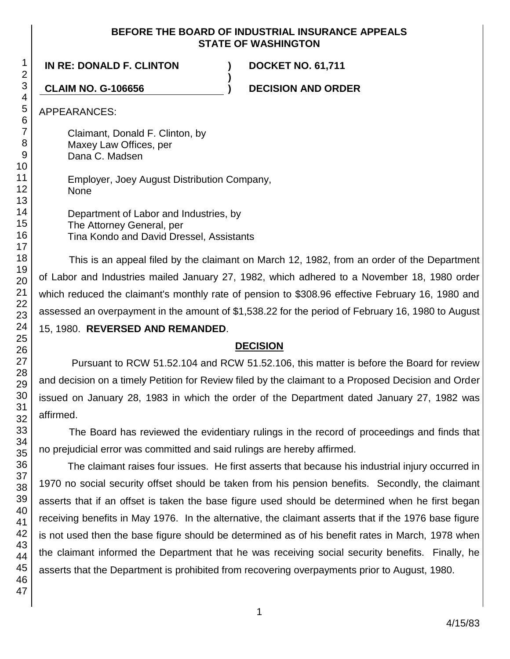### **BEFORE THE BOARD OF INDUSTRIAL INSURANCE APPEALS STATE OF WASHINGTON**

**)**

**IN RE: DONALD F. CLINTON ) DOCKET NO. 61,711**

**CLAIM NO. G-106656 ) DECISION AND ORDER**

APPEARANCES:

Claimant, Donald F. Clinton, by Maxey Law Offices, per Dana C. Madsen

Employer, Joey August Distribution Company, None

Department of Labor and Industries, by The Attorney General, per Tina Kondo and David Dressel, Assistants

This is an appeal filed by the claimant on March 12, 1982, from an order of the Department of Labor and Industries mailed January 27, 1982, which adhered to a November 18, 1980 order which reduced the claimant's monthly rate of pension to \$308.96 effective February 16, 1980 and assessed an overpayment in the amount of \$1,538.22 for the period of February 16, 1980 to August 15, 1980. **REVERSED AND REMANDED**.

# **DECISION**

Pursuant to RCW 51.52.104 and RCW 51.52.106, this matter is before the Board for review and decision on a timely Petition for Review filed by the claimant to a Proposed Decision and Order issued on January 28, 1983 in which the order of the Department dated January 27, 1982 was affirmed.

The Board has reviewed the evidentiary rulings in the record of proceedings and finds that no prejudicial error was committed and said rulings are hereby affirmed.

The claimant raises four issues. He first asserts that because his industrial injury occurred in 1970 no social security offset should be taken from his pension benefits. Secondly, the claimant asserts that if an offset is taken the base figure used should be determined when he first began receiving benefits in May 1976. In the alternative, the claimant asserts that if the 1976 base figure is not used then the base figure should be determined as of his benefit rates in March, 1978 when the claimant informed the Department that he was receiving social security benefits. Finally, he asserts that the Department is prohibited from recovering overpayments prior to August, 1980.

1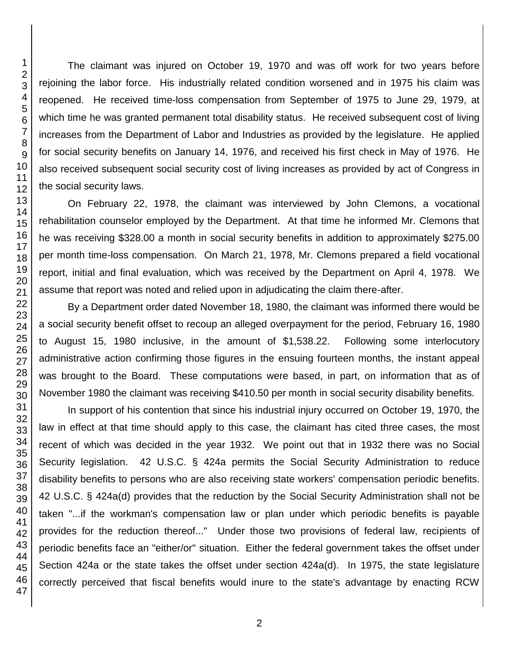The claimant was injured on October 19, 1970 and was off work for two years before rejoining the labor force. His industrially related condition worsened and in 1975 his claim was reopened. He received time-loss compensation from September of 1975 to June 29, 1979, at which time he was granted permanent total disability status. He received subsequent cost of living increases from the Department of Labor and Industries as provided by the legislature. He applied for social security benefits on January 14, 1976, and received his first check in May of 1976. He also received subsequent social security cost of living increases as provided by act of Congress in the social security laws.

On February 22, 1978, the claimant was interviewed by John Clemons, a vocational rehabilitation counselor employed by the Department. At that time he informed Mr. Clemons that he was receiving \$328.00 a month in social security benefits in addition to approximately \$275.00 per month time-loss compensation. On March 21, 1978, Mr. Clemons prepared a field vocational report, initial and final evaluation, which was received by the Department on April 4, 1978. We assume that report was noted and relied upon in adjudicating the claim there-after.

By a Department order dated November 18, 1980, the claimant was informed there would be a social security benefit offset to recoup an alleged overpayment for the period, February 16, 1980 to August 15, 1980 inclusive, in the amount of \$1,538.22. Following some interlocutory administrative action confirming those figures in the ensuing fourteen months, the instant appeal was brought to the Board. These computations were based, in part, on information that as of November 1980 the claimant was receiving \$410.50 per month in social security disability benefits.

In support of his contention that since his industrial injury occurred on October 19, 1970, the law in effect at that time should apply to this case, the claimant has cited three cases, the most recent of which was decided in the year 1932. We point out that in 1932 there was no Social Security legislation. 42 U.S.C. § 424a permits the Social Security Administration to reduce disability benefits to persons who are also receiving state workers' compensation periodic benefits. 42 U.S.C. § 424a(d) provides that the reduction by the Social Security Administration shall not be taken "...if the workman's compensation law or plan under which periodic benefits is payable provides for the reduction thereof..." Under those two provisions of federal law, recipients of periodic benefits face an "either/or" situation. Either the federal government takes the offset under Section 424a or the state takes the offset under section 424a(d). In 1975, the state legislature correctly perceived that fiscal benefits would inure to the state's advantage by enacting RCW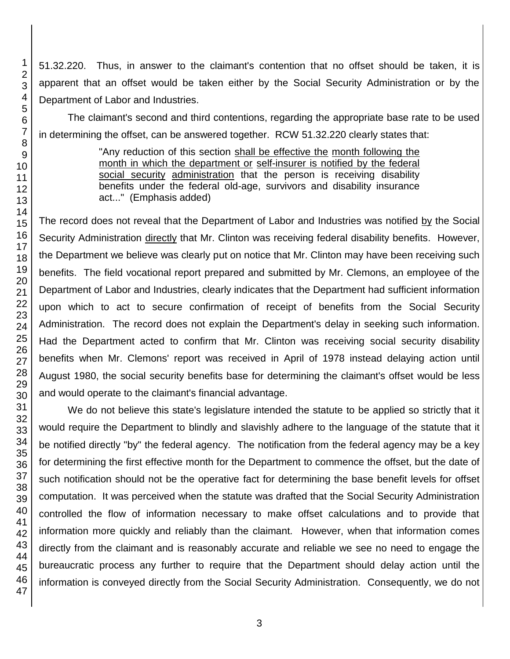51.32.220. Thus, in answer to the claimant's contention that no offset should be taken, it is apparent that an offset would be taken either by the Social Security Administration or by the Department of Labor and Industries.

The claimant's second and third contentions, regarding the appropriate base rate to be used in determining the offset, can be answered together. RCW 51.32.220 clearly states that:

> "Any reduction of this section shall be effective the month following the month in which the department or self-insurer is notified by the federal social security administration that the person is receiving disability benefits under the federal old-age, survivors and disability insurance act..." (Emphasis added)

The record does not reveal that the Department of Labor and Industries was notified by the Social Security Administration directly that Mr. Clinton was receiving federal disability benefits. However, the Department we believe was clearly put on notice that Mr. Clinton may have been receiving such benefits. The field vocational report prepared and submitted by Mr. Clemons, an employee of the Department of Labor and Industries, clearly indicates that the Department had sufficient information upon which to act to secure confirmation of receipt of benefits from the Social Security Administration. The record does not explain the Department's delay in seeking such information. Had the Department acted to confirm that Mr. Clinton was receiving social security disability benefits when Mr. Clemons' report was received in April of 1978 instead delaying action until August 1980, the social security benefits base for determining the claimant's offset would be less and would operate to the claimant's financial advantage.

We do not believe this state's legislature intended the statute to be applied so strictly that it would require the Department to blindly and slavishly adhere to the language of the statute that it be notified directly "by" the federal agency. The notification from the federal agency may be a key for determining the first effective month for the Department to commence the offset, but the date of such notification should not be the operative fact for determining the base benefit levels for offset computation. It was perceived when the statute was drafted that the Social Security Administration controlled the flow of information necessary to make offset calculations and to provide that information more quickly and reliably than the claimant. However, when that information comes directly from the claimant and is reasonably accurate and reliable we see no need to engage the bureaucratic process any further to require that the Department should delay action until the information is conveyed directly from the Social Security Administration. Consequently, we do not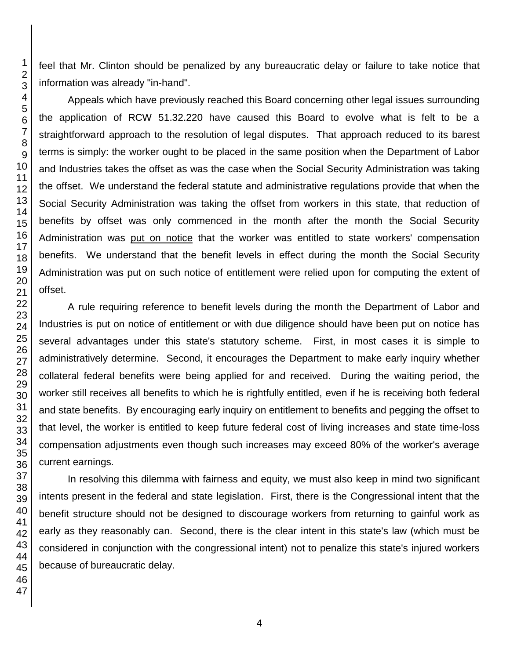feel that Mr. Clinton should be penalized by any bureaucratic delay or failure to take notice that information was already "in-hand".

Appeals which have previously reached this Board concerning other legal issues surrounding the application of RCW 51.32.220 have caused this Board to evolve what is felt to be a straightforward approach to the resolution of legal disputes. That approach reduced to its barest terms is simply: the worker ought to be placed in the same position when the Department of Labor and Industries takes the offset as was the case when the Social Security Administration was taking the offset. We understand the federal statute and administrative regulations provide that when the Social Security Administration was taking the offset from workers in this state, that reduction of benefits by offset was only commenced in the month after the month the Social Security Administration was put on notice that the worker was entitled to state workers' compensation benefits. We understand that the benefit levels in effect during the month the Social Security Administration was put on such notice of entitlement were relied upon for computing the extent of offset.

A rule requiring reference to benefit levels during the month the Department of Labor and Industries is put on notice of entitlement or with due diligence should have been put on notice has several advantages under this state's statutory scheme. First, in most cases it is simple to administratively determine. Second, it encourages the Department to make early inquiry whether collateral federal benefits were being applied for and received. During the waiting period, the worker still receives all benefits to which he is rightfully entitled, even if he is receiving both federal and state benefits. By encouraging early inquiry on entitlement to benefits and pegging the offset to that level, the worker is entitled to keep future federal cost of living increases and state time-loss compensation adjustments even though such increases may exceed 80% of the worker's average current earnings.

In resolving this dilemma with fairness and equity, we must also keep in mind two significant intents present in the federal and state legislation. First, there is the Congressional intent that the benefit structure should not be designed to discourage workers from returning to gainful work as early as they reasonably can. Second, there is the clear intent in this state's law (which must be considered in conjunction with the congressional intent) not to penalize this state's injured workers because of bureaucratic delay.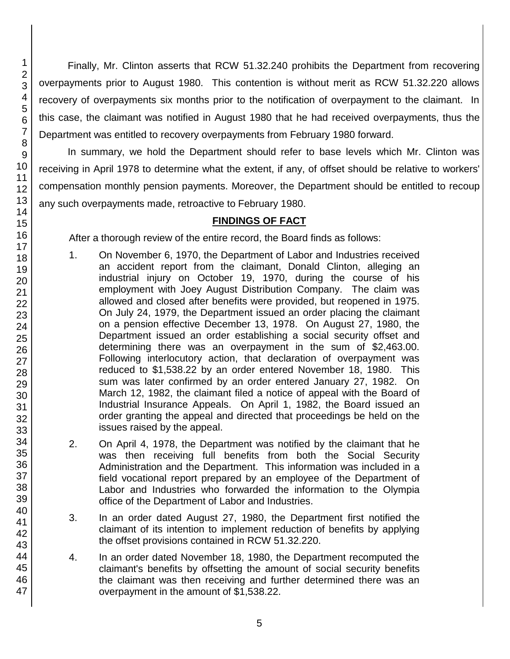Finally, Mr. Clinton asserts that RCW 51.32.240 prohibits the Department from recovering overpayments prior to August 1980. This contention is without merit as RCW 51.32.220 allows recovery of overpayments six months prior to the notification of overpayment to the claimant. In this case, the claimant was notified in August 1980 that he had received overpayments, thus the Department was entitled to recovery overpayments from February 1980 forward.

In summary, we hold the Department should refer to base levels which Mr. Clinton was receiving in April 1978 to determine what the extent, if any, of offset should be relative to workers' compensation monthly pension payments. Moreover, the Department should be entitled to recoup any such overpayments made, retroactive to February 1980.

# **FINDINGS OF FACT**

After a thorough review of the entire record, the Board finds as follows:

- 1. On November 6, 1970, the Department of Labor and Industries received an accident report from the claimant, Donald Clinton, alleging an industrial injury on October 19, 1970, during the course of his employment with Joey August Distribution Company. The claim was allowed and closed after benefits were provided, but reopened in 1975. On July 24, 1979, the Department issued an order placing the claimant on a pension effective December 13, 1978. On August 27, 1980, the Department issued an order establishing a social security offset and determining there was an overpayment in the sum of \$2,463.00. Following interlocutory action, that declaration of overpayment was reduced to \$1,538.22 by an order entered November 18, 1980. This sum was later confirmed by an order entered January 27, 1982. On March 12, 1982, the claimant filed a notice of appeal with the Board of Industrial Insurance Appeals. On April 1, 1982, the Board issued an order granting the appeal and directed that proceedings be held on the issues raised by the appeal.
- 2. On April 4, 1978, the Department was notified by the claimant that he was then receiving full benefits from both the Social Security Administration and the Department. This information was included in a field vocational report prepared by an employee of the Department of Labor and Industries who forwarded the information to the Olympia office of the Department of Labor and Industries.
- 3. In an order dated August 27, 1980, the Department first notified the claimant of its intention to implement reduction of benefits by applying the offset provisions contained in RCW 51.32.220.
- 4. In an order dated November 18, 1980, the Department recomputed the claimant's benefits by offsetting the amount of social security benefits the claimant was then receiving and further determined there was an overpayment in the amount of \$1,538.22.